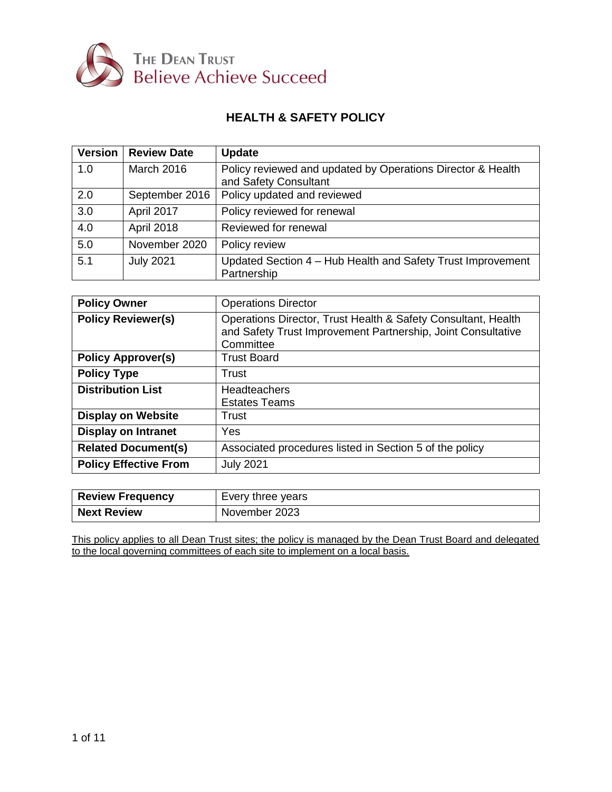

# **HEALTH & SAFETY POLICY**

| Version | <b>Review Date</b> | <b>Update</b>                                                                        |
|---------|--------------------|--------------------------------------------------------------------------------------|
| 1.0     | <b>March 2016</b>  | Policy reviewed and updated by Operations Director & Health<br>and Safety Consultant |
| 2.0     | September 2016     | Policy updated and reviewed                                                          |
| 3.0     | April 2017         | Policy reviewed for renewal                                                          |
| 4.0     | <b>April 2018</b>  | Reviewed for renewal                                                                 |
| 5.0     | November 2020      | Policy review                                                                        |
| 5.1     | <b>July 2021</b>   | Updated Section 4 - Hub Health and Safety Trust Improvement<br>Partnership           |

| <b>Policy Owner</b>          | <b>Operations Director</b>                                                                                                                 |
|------------------------------|--------------------------------------------------------------------------------------------------------------------------------------------|
| <b>Policy Reviewer(s)</b>    | Operations Director, Trust Health & Safety Consultant, Health<br>and Safety Trust Improvement Partnership, Joint Consultative<br>Committee |
| <b>Policy Approver(s)</b>    | <b>Trust Board</b>                                                                                                                         |
| <b>Policy Type</b>           | Trust                                                                                                                                      |
| <b>Distribution List</b>     | <b>Headteachers</b><br><b>Estates Teams</b>                                                                                                |
| <b>Display on Website</b>    | Trust                                                                                                                                      |
| <b>Display on Intranet</b>   | Yes                                                                                                                                        |
| <b>Related Document(s)</b>   | Associated procedures listed in Section 5 of the policy                                                                                    |
| <b>Policy Effective From</b> | <b>July 2021</b>                                                                                                                           |

| <b>Review Frequency</b> | Every three years |
|-------------------------|-------------------|
| <b>Next Review</b>      | November 2023     |

This policy applies to all Dean Trust sites; the policy is managed by the Dean Trust Board and delegated to the local governing committees of each site to implement on a local basis.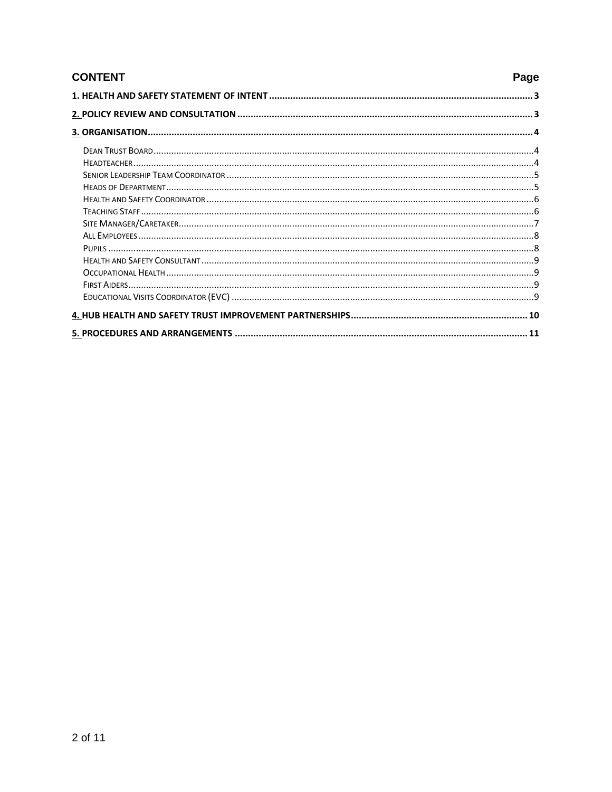| <b>CONTENT</b><br>Page |  |
|------------------------|--|
|                        |  |
|                        |  |
|                        |  |
|                        |  |
|                        |  |
|                        |  |
|                        |  |
|                        |  |
|                        |  |
|                        |  |
|                        |  |
|                        |  |
|                        |  |
|                        |  |
|                        |  |
|                        |  |
|                        |  |
|                        |  |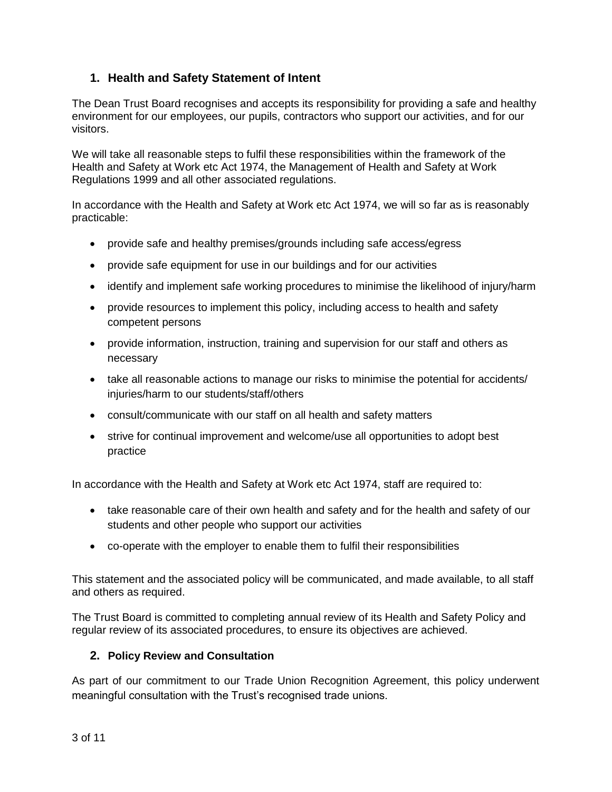# <span id="page-2-0"></span>**1. Health and Safety Statement of Intent**

The Dean Trust Board recognises and accepts its responsibility for providing a safe and healthy environment for our employees, our pupils, contractors who support our activities, and for our visitors.

We will take all reasonable steps to fulfil these responsibilities within the framework of the Health and Safety at Work etc Act 1974, the Management of Health and Safety at Work Regulations 1999 and all other associated regulations.

In accordance with the Health and Safety at Work etc Act 1974, we will so far as is reasonably practicable:

- provide safe and healthy premises/grounds including safe access/egress
- provide safe equipment for use in our buildings and for our activities
- identify and implement safe working procedures to minimise the likelihood of injury/harm
- provide resources to implement this policy, including access to health and safety competent persons
- provide information, instruction, training and supervision for our staff and others as necessary
- take all reasonable actions to manage our risks to minimise the potential for accidents/ injuries/harm to our students/staff/others
- consult/communicate with our staff on all health and safety matters
- strive for continual improvement and welcome/use all opportunities to adopt best practice

In accordance with the Health and Safety at Work etc Act 1974, staff are required to:

- take reasonable care of their own health and safety and for the health and safety of our students and other people who support our activities
- co-operate with the employer to enable them to fulfil their responsibilities

This statement and the associated policy will be communicated, and made available, to all staff and others as required.

The Trust Board is committed to completing annual review of its Health and Safety Policy and regular review of its associated procedures, to ensure its objectives are achieved.

# <span id="page-2-1"></span>**2. Policy Review and Consultation**

As part of our commitment to our Trade Union Recognition Agreement, this policy underwent meaningful consultation with the Trust's recognised trade unions.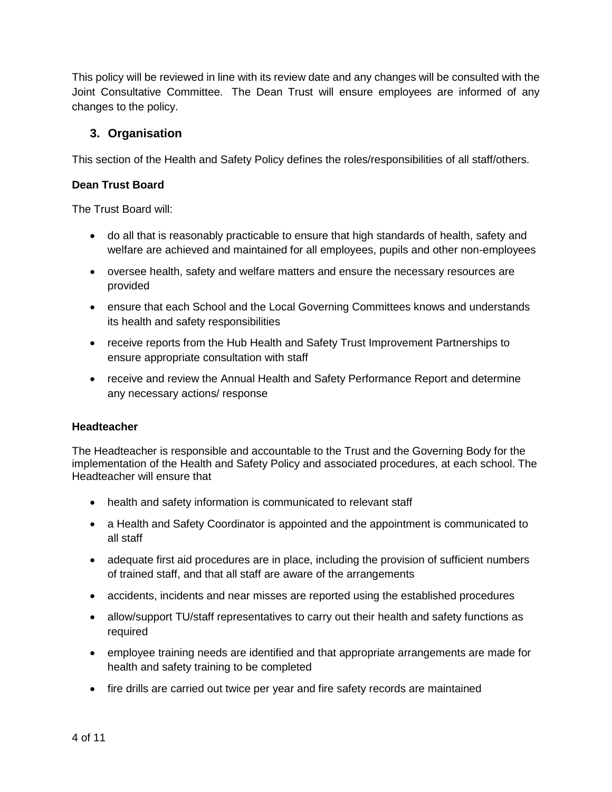This policy will be reviewed in line with its review date and any changes will be consulted with the Joint Consultative Committee. The Dean Trust will ensure employees are informed of any changes to the policy.

## <span id="page-3-0"></span>**3. Organisation**

This section of the Health and Safety Policy defines the roles/responsibilities of all staff/others.

## <span id="page-3-1"></span>**Dean Trust Board**

The Trust Board will:

- do all that is reasonably practicable to ensure that high standards of health, safety and welfare are achieved and maintained for all employees, pupils and other non-employees
- oversee health, safety and welfare matters and ensure the necessary resources are provided
- ensure that each School and the Local Governing Committees knows and understands its health and safety responsibilities
- receive reports from the Hub Health and Safety Trust Improvement Partnerships to ensure appropriate consultation with staff
- receive and review the Annual Health and Safety Performance Report and determine any necessary actions/ response

### <span id="page-3-2"></span>**Headteacher**

The Headteacher is responsible and accountable to the Trust and the Governing Body for the implementation of the Health and Safety Policy and associated procedures, at each school. The Headteacher will ensure that

- health and safety information is communicated to relevant staff
- a Health and Safety Coordinator is appointed and the appointment is communicated to all staff
- adequate first aid procedures are in place, including the provision of sufficient numbers of trained staff, and that all staff are aware of the arrangements
- accidents, incidents and near misses are reported using the established procedures
- allow/support TU/staff representatives to carry out their health and safety functions as required
- employee training needs are identified and that appropriate arrangements are made for health and safety training to be completed
- fire drills are carried out twice per year and fire safety records are maintained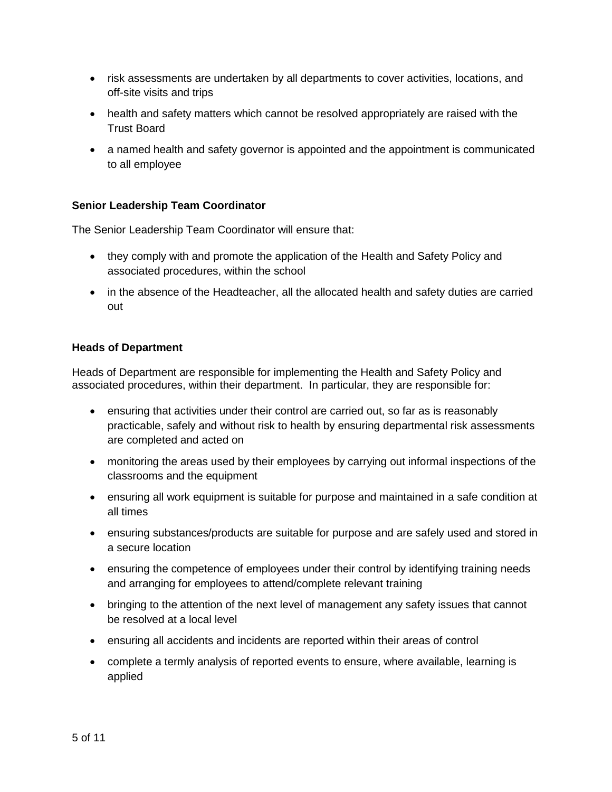- risk assessments are undertaken by all departments to cover activities, locations, and off-site visits and trips
- health and safety matters which cannot be resolved appropriately are raised with the Trust Board
- a named health and safety governor is appointed and the appointment is communicated to all employee

## <span id="page-4-0"></span>**Senior Leadership Team Coordinator**

The Senior Leadership Team Coordinator will ensure that:

- they comply with and promote the application of the Health and Safety Policy and associated procedures, within the school
- in the absence of the Headteacher, all the allocated health and safety duties are carried out

#### <span id="page-4-1"></span>**Heads of Department**

Heads of Department are responsible for implementing the Health and Safety Policy and associated procedures, within their department. In particular, they are responsible for:

- ensuring that activities under their control are carried out, so far as is reasonably practicable, safely and without risk to health by ensuring departmental risk assessments are completed and acted on
- monitoring the areas used by their employees by carrying out informal inspections of the classrooms and the equipment
- ensuring all work equipment is suitable for purpose and maintained in a safe condition at all times
- ensuring substances/products are suitable for purpose and are safely used and stored in a secure location
- ensuring the competence of employees under their control by identifying training needs and arranging for employees to attend/complete relevant training
- bringing to the attention of the next level of management any safety issues that cannot be resolved at a local level
- ensuring all accidents and incidents are reported within their areas of control
- complete a termly analysis of reported events to ensure, where available, learning is applied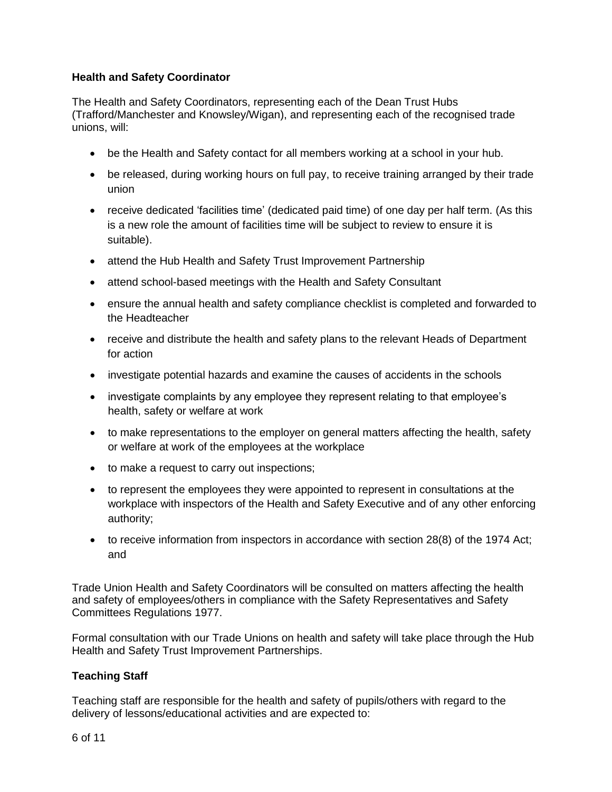## <span id="page-5-0"></span>**Health and Safety Coordinator**

The Health and Safety Coordinators, representing each of the Dean Trust Hubs (Trafford/Manchester and Knowsley/Wigan), and representing each of the recognised trade unions, will:

- be the Health and Safety contact for all members working at a school in your hub.
- be released, during working hours on full pay, to receive training arranged by their trade union
- receive dedicated 'facilities time' (dedicated paid time) of one day per half term. (As this is a new role the amount of facilities time will be subject to review to ensure it is suitable).
- attend the Hub Health and Safety Trust Improvement Partnership
- attend school-based meetings with the Health and Safety Consultant
- ensure the annual health and safety compliance checklist is completed and forwarded to the Headteacher
- receive and distribute the health and safety plans to the relevant Heads of Department for action
- investigate potential hazards and examine the causes of accidents in the schools
- investigate complaints by any employee they represent relating to that employee's health, safety or welfare at work
- to make representations to the employer on general matters affecting the health, safety or welfare at work of the employees at the workplace
- to make a request to carry out inspections;
- to represent the employees they were appointed to represent in consultations at the workplace with inspectors of the Health and Safety Executive and of any other enforcing authority;
- to receive information from inspectors in accordance with section 28(8) of the 1974 Act; and

Trade Union Health and Safety Coordinators will be consulted on matters affecting the health and safety of employees/others in compliance with the Safety Representatives and Safety Committees Regulations 1977.

Formal consultation with our Trade Unions on health and safety will take place through the Hub Health and Safety Trust Improvement Partnerships.

### <span id="page-5-1"></span>**Teaching Staff**

Teaching staff are responsible for the health and safety of pupils/others with regard to the delivery of lessons/educational activities and are expected to: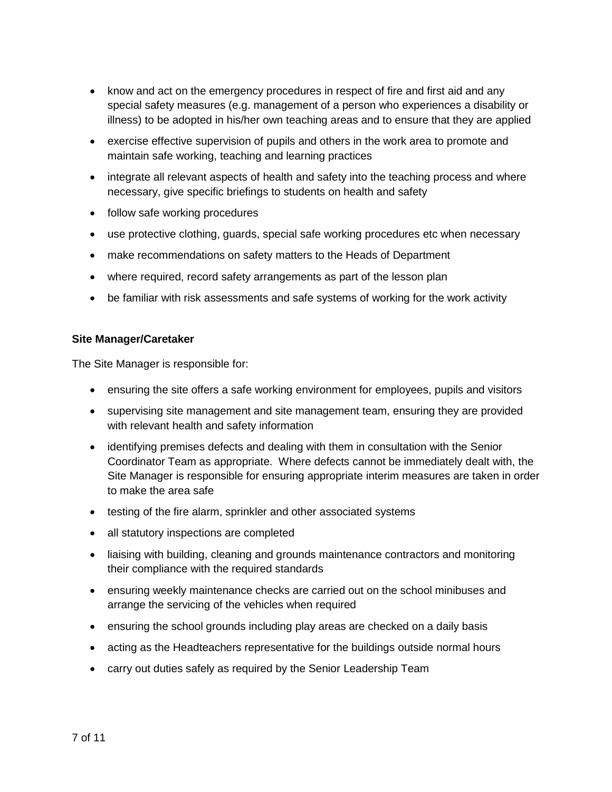- know and act on the emergency procedures in respect of fire and first aid and any special safety measures (e.g. management of a person who experiences a disability or illness) to be adopted in his/her own teaching areas and to ensure that they are applied
- exercise effective supervision of pupils and others in the work area to promote and maintain safe working, teaching and learning practices
- integrate all relevant aspects of health and safety into the teaching process and where necessary, give specific briefings to students on health and safety
- follow safe working procedures
- use protective clothing, guards, special safe working procedures etc when necessary
- make recommendations on safety matters to the Heads of Department
- where required, record safety arrangements as part of the lesson plan
- be familiar with risk assessments and safe systems of working for the work activity

#### <span id="page-6-0"></span>**Site Manager/Caretaker**

The Site Manager is responsible for:

- ensuring the site offers a safe working environment for employees, pupils and visitors
- supervising site management and site management team, ensuring they are provided with relevant health and safety information
- identifying premises defects and dealing with them in consultation with the Senior Coordinator Team as appropriate. Where defects cannot be immediately dealt with, the Site Manager is responsible for ensuring appropriate interim measures are taken in order to make the area safe
- testing of the fire alarm, sprinkler and other associated systems
- all statutory inspections are completed
- liaising with building, cleaning and grounds maintenance contractors and monitoring their compliance with the required standards
- ensuring weekly maintenance checks are carried out on the school minibuses and arrange the servicing of the vehicles when required
- ensuring the school grounds including play areas are checked on a daily basis
- acting as the Headteachers representative for the buildings outside normal hours
- carry out duties safely as required by the Senior Leadership Team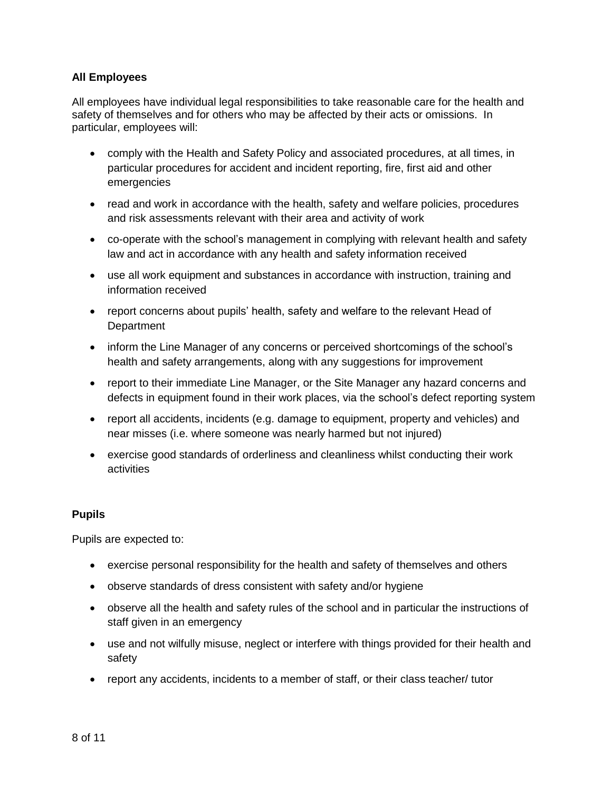## <span id="page-7-0"></span>**All Employees**

All employees have individual legal responsibilities to take reasonable care for the health and safety of themselves and for others who may be affected by their acts or omissions. In particular, employees will:

- comply with the Health and Safety Policy and associated procedures, at all times, in particular procedures for accident and incident reporting, fire, first aid and other emergencies
- read and work in accordance with the health, safety and welfare policies, procedures and risk assessments relevant with their area and activity of work
- co-operate with the school's management in complying with relevant health and safety law and act in accordance with any health and safety information received
- use all work equipment and substances in accordance with instruction, training and information received
- report concerns about pupils' health, safety and welfare to the relevant Head of **Department**
- inform the Line Manager of any concerns or perceived shortcomings of the school's health and safety arrangements, along with any suggestions for improvement
- report to their immediate Line Manager, or the Site Manager any hazard concerns and defects in equipment found in their work places, via the school's defect reporting system
- report all accidents, incidents (e.g. damage to equipment, property and vehicles) and near misses (i.e. where someone was nearly harmed but not injured)
- exercise good standards of orderliness and cleanliness whilst conducting their work activities

### <span id="page-7-1"></span>**Pupils**

Pupils are expected to:

- exercise personal responsibility for the health and safety of themselves and others
- observe standards of dress consistent with safety and/or hygiene
- observe all the health and safety rules of the school and in particular the instructions of staff given in an emergency
- use and not wilfully misuse, neglect or interfere with things provided for their health and safety
- report any accidents, incidents to a member of staff, or their class teacher/ tutor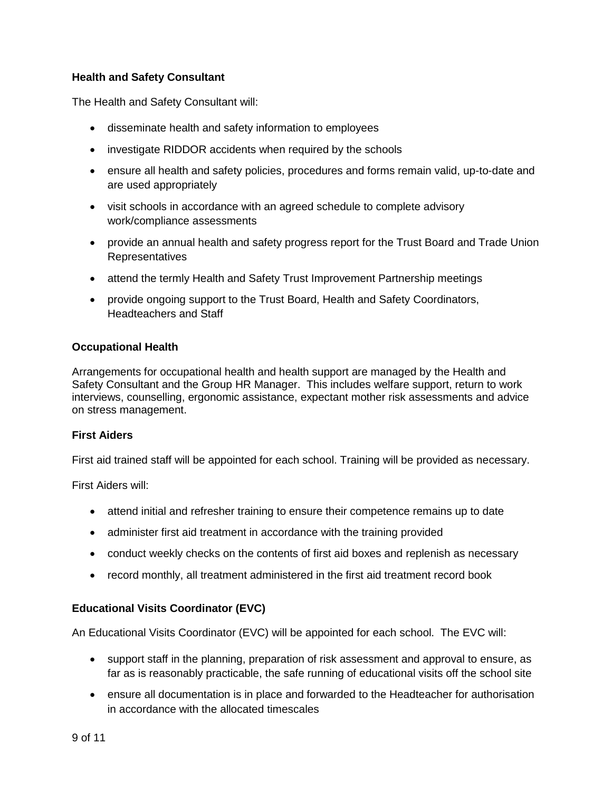## <span id="page-8-0"></span>**Health and Safety Consultant**

The Health and Safety Consultant will:

- disseminate health and safety information to employees
- investigate RIDDOR accidents when required by the schools
- ensure all health and safety policies, procedures and forms remain valid, up-to-date and are used appropriately
- visit schools in accordance with an agreed schedule to complete advisory work/compliance assessments
- provide an annual health and safety progress report for the Trust Board and Trade Union Representatives
- attend the termly Health and Safety Trust Improvement Partnership meetings
- provide ongoing support to the Trust Board, Health and Safety Coordinators, Headteachers and Staff

### <span id="page-8-1"></span>**Occupational Health**

Arrangements for occupational health and health support are managed by the Health and Safety Consultant and the Group HR Manager. This includes welfare support, return to work interviews, counselling, ergonomic assistance, expectant mother risk assessments and advice on stress management.

### <span id="page-8-2"></span>**First Aiders**

First aid trained staff will be appointed for each school. Training will be provided as necessary.

First Aiders will:

- attend initial and refresher training to ensure their competence remains up to date
- administer first aid treatment in accordance with the training provided
- conduct weekly checks on the contents of first aid boxes and replenish as necessary
- record monthly, all treatment administered in the first aid treatment record book

## <span id="page-8-3"></span>**Educational Visits Coordinator (EVC)**

An Educational Visits Coordinator (EVC) will be appointed for each school. The EVC will:

- support staff in the planning, preparation of risk assessment and approval to ensure, as far as is reasonably practicable, the safe running of educational visits off the school site
- ensure all documentation is in place and forwarded to the Headteacher for authorisation in accordance with the allocated timescales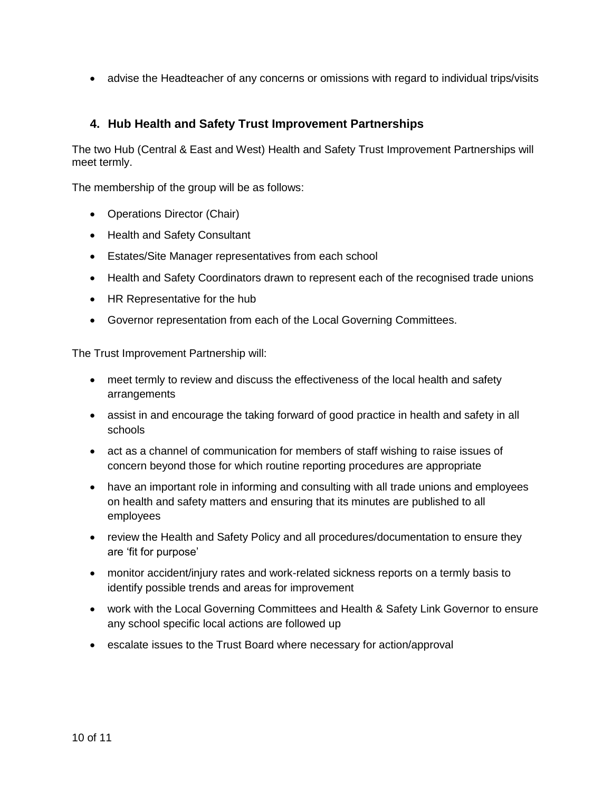• advise the Headteacher of any concerns or omissions with regard to individual trips/visits

## <span id="page-9-0"></span>**4. Hub Health and Safety Trust Improvement Partnerships**

The two Hub (Central & East and West) Health and Safety Trust Improvement Partnerships will meet termly.

The membership of the group will be as follows:

- Operations Director (Chair)
- Health and Safety Consultant
- Estates/Site Manager representatives from each school
- Health and Safety Coordinators drawn to represent each of the recognised trade unions
- HR Representative for the hub
- Governor representation from each of the Local Governing Committees.

The Trust Improvement Partnership will:

- meet termly to review and discuss the effectiveness of the local health and safety arrangements
- assist in and encourage the taking forward of good practice in health and safety in all schools
- act as a channel of communication for members of staff wishing to raise issues of concern beyond those for which routine reporting procedures are appropriate
- have an important role in informing and consulting with all trade unions and employees on health and safety matters and ensuring that its minutes are published to all employees
- review the Health and Safety Policy and all procedures/documentation to ensure they are 'fit for purpose'
- monitor accident/injury rates and work-related sickness reports on a termly basis to identify possible trends and areas for improvement
- work with the Local Governing Committees and Health & Safety Link Governor to ensure any school specific local actions are followed up
- escalate issues to the Trust Board where necessary for action/approval